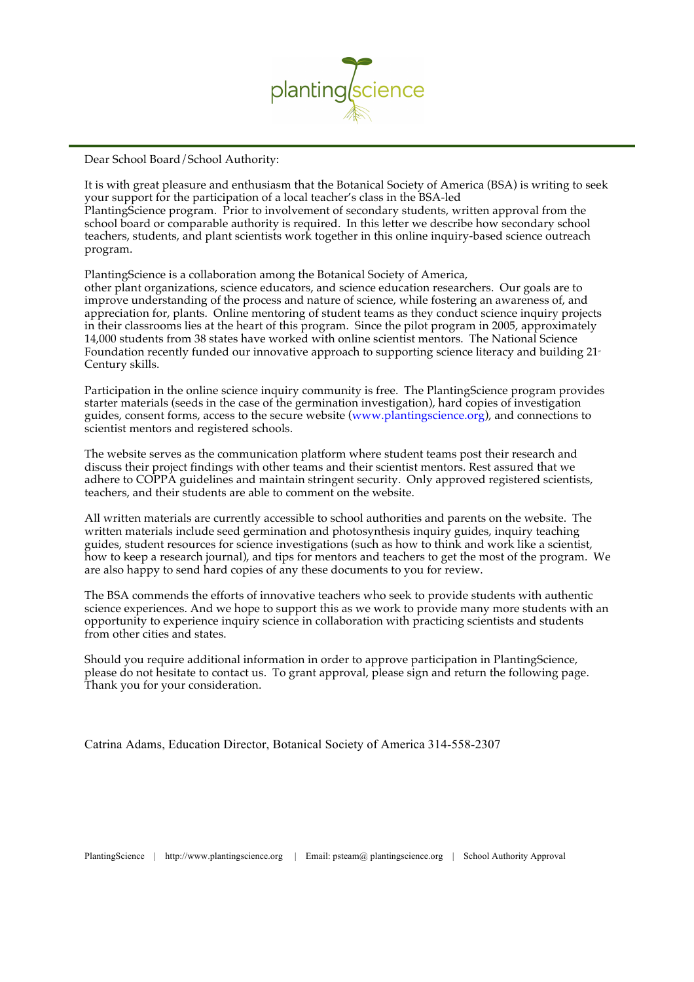

Dear School Board/School Authority:

It is with great pleasure and enthusiasm that the Botanical Society of America (BSA) is writing to seek your support for the participation of a local teacher's class in the BSA-led PlantingScience program. Prior to involvement of secondary students, written approval from the school board or comparable authority is required. In this letter we describe how secondary school teachers, students, and plant scientists work together in this online inquiry-based science outreach program.

PlantingScience is a collaboration among the Botanical Society of America,

other plant organizations, science educators, and science education researchers. Our goals are to improve understanding of the process and nature of science, while fostering an awareness of, and appreciation for, plants. Online mentoring of student teams as they conduct science inquiry projects in their classrooms lies at the heart of this program. Since the pilot program in 2005, approximately 14,000 students from 38 states have worked with online scientist mentors. The National Science Foundation recently funded our innovative approach to supporting science literacy and building  $21<sup>*</sup>$ Century skills.

Participation in the online science inquiry community is free. The PlantingScience program provides starter materials (seeds in the case of the germination investigation), hard copies of investigation guides, consent forms, access to the secure website (www.plantingscience.org), and connections to scientist mentors and registered schools.

The website serves as the communication platform where student teams post their research and discuss their project findings with other teams and their scientist mentors. Rest assured that we adhere to COPPA guidelines and maintain stringent security. Only approved registered scientists, teachers, and their students are able to comment on the website.

All written materials are currently accessible to school authorities and parents on the website. The written materials include seed germination and photosynthesis inquiry guides, inquiry teaching guides, student resources for science investigations (such as how to think and work like a scientist, how to keep a research journal), and tips for mentors and teachers to get the most of the program. We are also happy to send hard copies of any these documents to you for review.

The BSA commends the efforts of innovative teachers who seek to provide students with authentic science experiences. And we hope to support this as we work to provide many more students with an opportunity to experience inquiry science in collaboration with practicing scientists and students from other cities and states.

Should you require additional information in order to approve participation in PlantingScience, please do not hesitate to contact us. To grant approval, please sign and return the following page. Thank you for your consideration.

Catrina Adams, Education Director, Botanical Society of America 314-558-2307